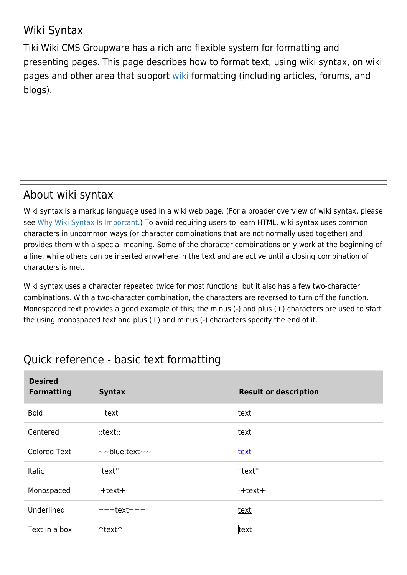## Wiki Syntax

Tiki Wiki CMS Groupware has a rich and flexible system for formatting and presenting pages. This page describes how to format text, using wiki syntax, on wiki pages and other area that support [wiki](https://doc.tiki.org/Wiki) formatting (including articles, forums, and blogs).

## About wiki syntax

Wiki syntax is a markup language used in a wiki web page. (For a broader overview of wiki syntax, please see [Why Wiki Syntax Is Important.](https://tiki.org/Why-Wiki-Syntax-Is-Important)) To avoid requiring users to learn HTML, wiki syntax uses common characters in uncommon ways (or character combinations that are not normally used together) and provides them with a special meaning. Some of the character combinations only work at the beginning of a line, while others can be inserted anywhere in the text and are active until a closing combination of characters is met.

Wiki syntax uses a character repeated twice for most functions, but it also has a few two-character combinations. With a two-character combination, the characters are reversed to turn off the function. Monospaced text provides a good example of this; the minus (-) and plus (+) characters are used to start the using monospaced text and plus  $(+)$  and minus  $(-)$  characters specify the end of it.

## Quick reference - basic text formatting

| <b>Desired</b><br><b>Formatting</b> | <b>Syntax</b>           | <b>Result or description</b> |
|-------------------------------------|-------------------------|------------------------------|
| <b>Bold</b>                         | text                    | text                         |
| Centered                            | $::text{text}::$        | text                         |
| <b>Colored Text</b>                 | $\sim$ blue:text $\sim$ | text                         |
| <b>Italic</b>                       | "text"                  | "text"                       |
| Monospaced                          | -+text+-                | $-text+$                     |
| Underlined                          | $===$ text===           | text                         |
| Text in a box                       | $\text{text}^*$         | text                         |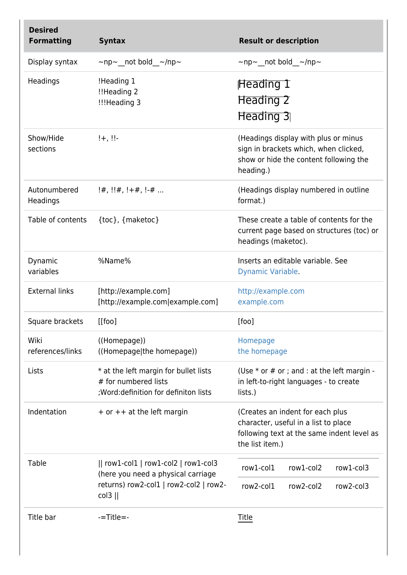| <b>Desired</b><br><b>Formatting</b> | <b>Syntax</b>                                                                                                              | <b>Result or description</b>                                                                                                              |
|-------------------------------------|----------------------------------------------------------------------------------------------------------------------------|-------------------------------------------------------------------------------------------------------------------------------------------|
| Display syntax                      | $\sim$ np $\sim$ not bold $\sim$ /np $\sim$                                                                                | $\sim$ np $\sim$ not bold $\sim$ /np $\sim$                                                                                               |
| Headings                            | !Heading 1<br>!!Heading 2<br>!!!Heading 3                                                                                  | Heading 1<br>Heading 2<br>Heading 3                                                                                                       |
| Show/Hide<br>sections               | $! +$ , !!-                                                                                                                | (Headings display with plus or minus<br>sign in brackets which, when clicked,<br>show or hide the content following the<br>heading.)      |
| Autonumbered<br>Headings            | $!#$ , $!#$ , $!+#$ , $!$ -#                                                                                               | (Headings display numbered in outline<br>format.)                                                                                         |
| Table of contents                   | {toc}, {maketoc}                                                                                                           | These create a table of contents for the<br>current page based on structures (toc) or<br>headings (maketoc).                              |
| Dynamic<br>variables                | %Name%                                                                                                                     | Inserts an editable variable. See<br>Dynamic Variable.                                                                                    |
| <b>External links</b>               | [http://example.com]<br>[http://example.com example.com]                                                                   | http://example.com<br>example.com                                                                                                         |
| Square brackets                     | $[$ [foo]                                                                                                                  | [foo]                                                                                                                                     |
| Wiki<br>references/links            | ((Homepage))<br>((Homepage the homepage))                                                                                  | Homepage<br>the homepage                                                                                                                  |
| Lists                               | * at the left margin for bullet lists<br># for numbered lists<br>; Word: definition for definiton lists                    | (Use $*$ or $#$ or ; and : at the left margin -<br>in left-to-right languages - to create<br>lists.)                                      |
| Indentation                         | + or ++ at the left margin                                                                                                 | (Creates an indent for each plus<br>character, useful in a list to place<br>following text at the same indent level as<br>the list item.) |
| Table                               | $  row1$ -col1 $ row1$ -col2 $ row1$ -col3<br>(here you need a physical carriage<br>returns) row2-col1   row2-col2   row2- | row1-col2<br>row1-col3<br>row1-col1<br>row2-col1<br>row2-col2<br>row <sub>2-col3</sub>                                                    |
| Title bar                           | $col3$   <br>$-$ Title $=$ -                                                                                               | Title                                                                                                                                     |